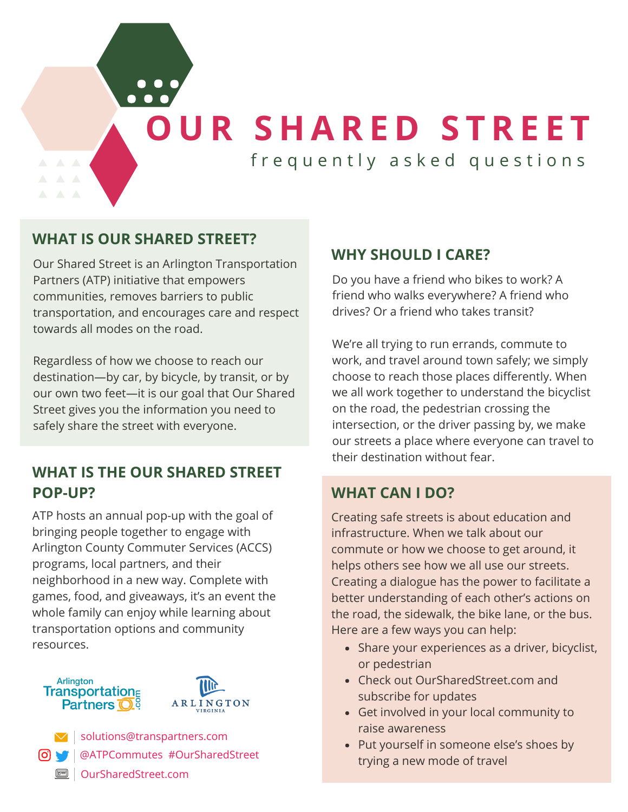**[O](http://oursharedstreet.com/) U R S H A R E D S T R E E T**

frequently asked questions

### **WHAT IS OUR SHARED STREET?**

Our Shared Street is an Arlington Transportation Partners (ATP) initiative that empowers communities, removes barriers to public transportation, and encourages care and respect towards all modes on the road.

Regardless of how we choose to reach our destination—by car, by bicycle, by transit, or by our own two feet—it is our goal that Our Shared Street gives you the information you need to safely share the street with everyone.

### **WHAT IS THE OUR SHARED STREET POP-UP?**

ATP hosts an annual pop-up with the goal of bringing people together to engage with Arlington County Commuter Services (ACCS) programs, local partners, and their neighborhood in a new way. Complete with games, food, and giveaways, it's an event the whole family can enjoy while learning about transportation options and community resources.





### **WHY SHOULD I CARE?**

Do you have a friend who bikes to work? A friend who walks everywhere? A friend who drives? Or a friend who takes transit?

We're all trying to run errands, commute to work, and travel around town safely; we simply choose to reach those places differently. When we all work together to understand the bicyclist on the road, the pedestrian crossing the intersection, or the driver passing by, we make our streets a place where everyone can travel to their destination without fear.

### **WHAT CAN I DO?**

Creating safe streets is about education and infrastructure. When we talk about our commute or how we choose to get around, it helps others see how we all use our streets. Creating a dialogue has the power to facilitate a better understanding of each other's actions on the road, the sidewalk, the bike lane, or the bus. Here are a few ways you can help:

- Share your experiences as a driver, bicyclist, or pedestrian
- Check out OurSharedStreet.com and subscribe for updates
- Get involved in your local community to raise awareness
- Put yourself in someone else's shoes by trying a new mode of travel